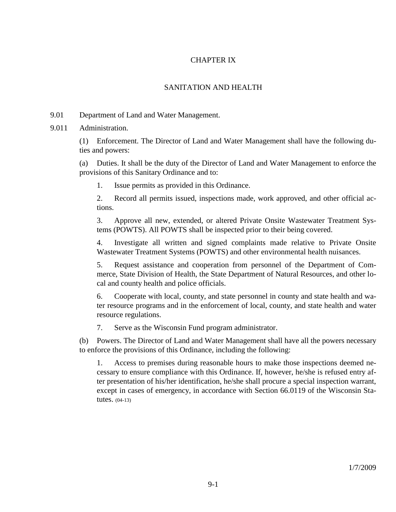# CHAPTER IX

# SANITATION AND HEALTH

9.01 Department of Land and Water Management.

9.011 Administration.

(1) Enforcement. The Director of Land and Water Management shall have the following duties and powers:

(a) Duties. It shall be the duty of the Director of Land and Water Management to enforce the provisions of this Sanitary Ordinance and to:

1. Issue permits as provided in this Ordinance.

2. Record all permits issued, inspections made, work approved, and other official actions.

3. Approve all new, extended, or altered Private Onsite Wastewater Treatment Systems (POWTS). All POWTS shall be inspected prior to their being covered.

4. Investigate all written and signed complaints made relative to Private Onsite Wastewater Treatment Systems (POWTS) and other environmental health nuisances.

5. Request assistance and cooperation from personnel of the Department of Commerce, State Division of Health, the State Department of Natural Resources, and other local and county health and police officials.

6. Cooperate with local, county, and state personnel in county and state health and water resource programs and in the enforcement of local, county, and state health and water resource regulations.

7. Serve as the Wisconsin Fund program administrator.

(b) Powers. The Director of Land and Water Management shall have all the powers necessary to enforce the provisions of this Ordinance, including the following:

1. Access to premises during reasonable hours to make those inspections deemed necessary to ensure compliance with this Ordinance. If, however, he/she is refused entry after presentation of his/her identification, he/she shall procure a special inspection warrant, except in cases of emergency, in accordance with Section 66.0119 of the Wisconsin Statutes. (04-13)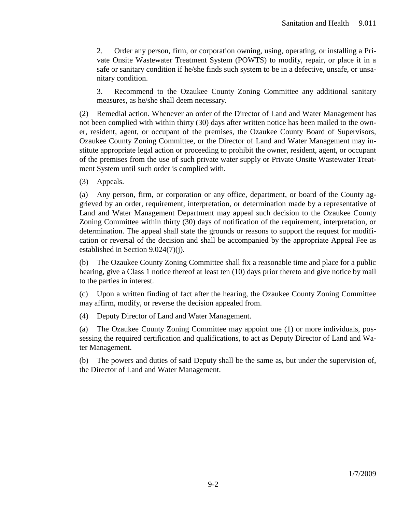2. Order any person, firm, or corporation owning, using, operating, or installing a Private Onsite Wastewater Treatment System (POWTS) to modify, repair, or place it in a safe or sanitary condition if he/she finds such system to be in a defective, unsafe, or unsanitary condition.

3. Recommend to the Ozaukee County Zoning Committee any additional sanitary measures, as he/she shall deem necessary.

(2) Remedial action. Whenever an order of the Director of Land and Water Management has not been complied with within thirty (30) days after written notice has been mailed to the owner, resident, agent, or occupant of the premises, the Ozaukee County Board of Supervisors, Ozaukee County Zoning Committee, or the Director of Land and Water Management may institute appropriate legal action or proceeding to prohibit the owner, resident, agent, or occupant of the premises from the use of such private water supply or Private Onsite Wastewater Treatment System until such order is complied with.

(3) Appeals.

(a) Any person, firm, or corporation or any office, department, or board of the County aggrieved by an order, requirement, interpretation, or determination made by a representative of Land and Water Management Department may appeal such decision to the Ozaukee County Zoning Committee within thirty (30) days of notification of the requirement, interpretation, or determination. The appeal shall state the grounds or reasons to support the request for modification or reversal of the decision and shall be accompanied by the appropriate Appeal Fee as established in Section 9.024(7)(j).

(b) The Ozaukee County Zoning Committee shall fix a reasonable time and place for a public hearing, give a Class 1 notice thereof at least ten (10) days prior thereto and give notice by mail to the parties in interest.

(c) Upon a written finding of fact after the hearing, the Ozaukee County Zoning Committee may affirm, modify, or reverse the decision appealed from.

(4) Deputy Director of Land and Water Management.

(a) The Ozaukee County Zoning Committee may appoint one (1) or more individuals, possessing the required certification and qualifications, to act as Deputy Director of Land and Water Management.

(b) The powers and duties of said Deputy shall be the same as, but under the supervision of, the Director of Land and Water Management.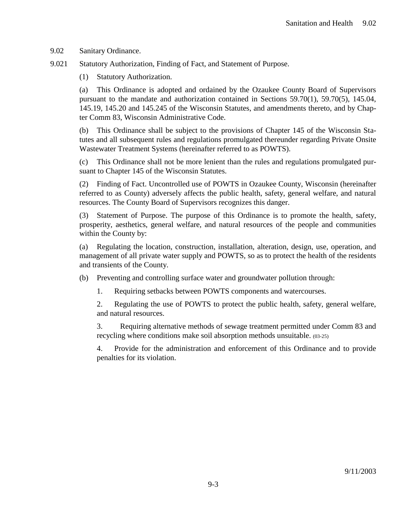9.02 Sanitary Ordinance.

9.021 Statutory Authorization, Finding of Fact, and Statement of Purpose.

(1) Statutory Authorization.

(a) This Ordinance is adopted and ordained by the Ozaukee County Board of Supervisors pursuant to the mandate and authorization contained in Sections 59.70(1), 59.70(5), 145.04, 145.19, 145.20 and 145.245 of the Wisconsin Statutes, and amendments thereto, and by Chapter Comm 83, Wisconsin Administrative Code.

(b) This Ordinance shall be subject to the provisions of Chapter 145 of the Wisconsin Statutes and all subsequent rules and regulations promulgated thereunder regarding Private Onsite Wastewater Treatment Systems (hereinafter referred to as POWTS).

(c) This Ordinance shall not be more lenient than the rules and regulations promulgated pursuant to Chapter 145 of the Wisconsin Statutes.

(2) Finding of Fact. Uncontrolled use of POWTS in Ozaukee County, Wisconsin (hereinafter referred to as County) adversely affects the public health, safety, general welfare, and natural resources. The County Board of Supervisors recognizes this danger.

(3) Statement of Purpose. The purpose of this Ordinance is to promote the health, safety, prosperity, aesthetics, general welfare, and natural resources of the people and communities within the County by:

(a) Regulating the location, construction, installation, alteration, design, use, operation, and management of all private water supply and POWTS, so as to protect the health of the residents and transients of the County.

(b) Preventing and controlling surface water and groundwater pollution through:

1. Requiring setbacks between POWTS components and watercourses.

2. Regulating the use of POWTS to protect the public health, safety, general welfare, and natural resources.

3. Requiring alternative methods of sewage treatment permitted under Comm 83 and recycling where conditions make soil absorption methods unsuitable. (03-25)

4. Provide for the administration and enforcement of this Ordinance and to provide penalties for its violation.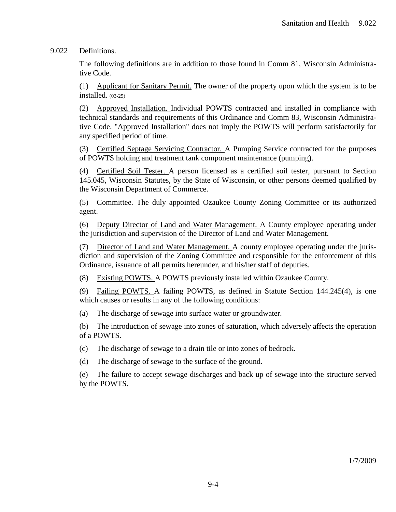9.022 Definitions.

The following definitions are in addition to those found in Comm 81, Wisconsin Administrative Code.

(1) Applicant for Sanitary Permit. The owner of the property upon which the system is to be installed. (03-25)

(2) Approved Installation. Individual POWTS contracted and installed in compliance with technical standards and requirements of this Ordinance and Comm 83, Wisconsin Administrative Code. "Approved Installation" does not imply the POWTS will perform satisfactorily for any specified period of time.

(3) Certified Septage Servicing Contractor. A Pumping Service contracted for the purposes of POWTS holding and treatment tank component maintenance (pumping).

(4) Certified Soil Tester. A person licensed as a certified soil tester, pursuant to Section 145.045, Wisconsin Statutes, by the State of Wisconsin, or other persons deemed qualified by the Wisconsin Department of Commerce.

(5) Committee. The duly appointed Ozaukee County Zoning Committee or its authorized agent.

(6) Deputy Director of Land and Water Management. A County employee operating under the jurisdiction and supervision of the Director of Land and Water Management.

(7) Director of Land and Water Management. A county employee operating under the jurisdiction and supervision of the Zoning Committee and responsible for the enforcement of this Ordinance, issuance of all permits hereunder, and his/her staff of deputies.

(8) Existing POWTS. A POWTS previously installed within Ozaukee County.

(9) Failing POWTS. A failing POWTS, as defined in Statute Section 144.245(4), is one which causes or results in any of the following conditions:

(a) The discharge of sewage into surface water or groundwater.

(b) The introduction of sewage into zones of saturation, which adversely affects the operation of a POWTS.

(c) The discharge of sewage to a drain tile or into zones of bedrock.

(d) The discharge of sewage to the surface of the ground.

(e) The failure to accept sewage discharges and back up of sewage into the structure served by the POWTS.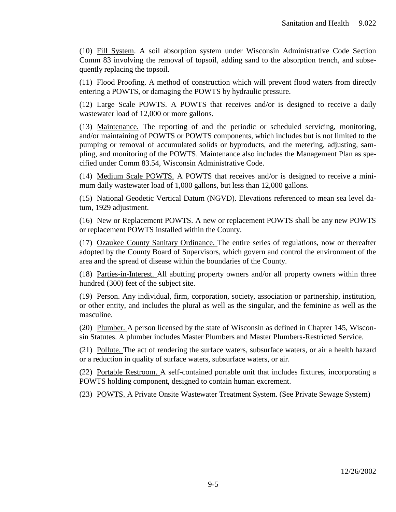(10) Fill System. A soil absorption system under Wisconsin Administrative Code Section Comm 83 involving the removal of topsoil, adding sand to the absorption trench, and subsequently replacing the topsoil.

(11) Flood Proofing. A method of construction which will prevent flood waters from directly entering a POWTS, or damaging the POWTS by hydraulic pressure.

(12) Large Scale POWTS. A POWTS that receives and/or is designed to receive a daily wastewater load of 12,000 or more gallons.

(13) Maintenance. The reporting of and the periodic or scheduled servicing, monitoring, and/or maintaining of POWTS or POWTS components, which includes but is not limited to the pumping or removal of accumulated solids or byproducts, and the metering, adjusting, sampling, and monitoring of the POWTS. Maintenance also includes the Management Plan as specified under Comm 83.54, Wisconsin Administrative Code.

(14) Medium Scale POWTS. A POWTS that receives and/or is designed to receive a minimum daily wastewater load of 1,000 gallons, but less than 12,000 gallons.

(15) National Geodetic Vertical Datum (NGVD). Elevations referenced to mean sea level datum, 1929 adjustment.

(16) New or Replacement POWTS. A new or replacement POWTS shall be any new POWTS or replacement POWTS installed within the County.

(17) Ozaukee County Sanitary Ordinance. The entire series of regulations, now or thereafter adopted by the County Board of Supervisors, which govern and control the environment of the area and the spread of disease within the boundaries of the County.

(18) Parties-in-Interest. All abutting property owners and/or all property owners within three hundred (300) feet of the subject site.

(19) Person. Any individual, firm, corporation, society, association or partnership, institution, or other entity, and includes the plural as well as the singular, and the feminine as well as the masculine.

(20) Plumber. A person licensed by the state of Wisconsin as defined in Chapter 145, Wisconsin Statutes. A plumber includes Master Plumbers and Master Plumbers-Restricted Service.

(21) Pollute. The act of rendering the surface waters, subsurface waters, or air a health hazard or a reduction in quality of surface waters, subsurface waters, or air.

(22) Portable Restroom. A self-contained portable unit that includes fixtures, incorporating a POWTS holding component, designed to contain human excrement.

(23) POWTS. A Private Onsite Wastewater Treatment System. (See Private Sewage System)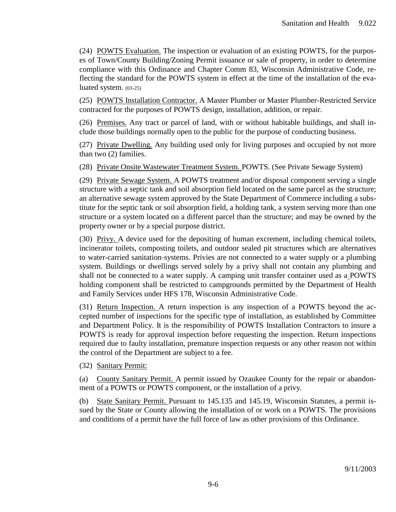(24) POWTS Evaluation. The inspection or evaluation of an existing POWTS, for the purposes of Town/County Building/Zoning Permit issuance or sale of property, in order to determine compliance with this Ordinance and Chapter Comm 83, Wisconsin Administrative Code, reflecting the standard for the POWTS system in effect at the time of the installation of the evaluated system. (03-25)

(25) POWTS Installation Contractor. A Master Plumber or Master Plumber-Restricted Service contracted for the purposes of POWTS design, installation, addition, or repair.

(26) Premises. Any tract or parcel of land, with or without habitable buildings, and shall include those buildings normally open to the public for the purpose of conducting business.

(27) Private Dwelling. Any building used only for living purposes and occupied by not more than two (2) families.

(28) Private Onsite Wastewater Treatment System. POWTS. (See Private Sewage System)

(29) Private Sewage System. A POWTS treatment and/or disposal component serving a single structure with a septic tank and soil absorption field located on the same parcel as the structure; an alternative sewage system approved by the State Department of Commerce including a substitute for the septic tank or soil absorption field, a holding tank, a system serving more than one structure or a system located on a different parcel than the structure; and may be owned by the property owner or by a special purpose district.

(30) Privy. A device used for the depositing of human excrement, including chemical toilets, incinerator toilets, composting toilets, and outdoor sealed pit structures which are alternatives to water-carried sanitation systems. Privies are not connected to a water supply or a plumbing system. Buildings or dwellings served solely by a privy shall not contain any plumbing and shall not be connected to a water supply. A camping unit transfer container used as a POWTS holding component shall be restricted to campgrounds permitted by the Department of Health and Family Services under HFS 178, Wisconsin Administrative Code.

(31) Return Inspection. A return inspection is any inspection of a POWTS beyond the accepted number of inspections for the specific type of installation, as established by Committee and Department Policy. It is the responsibility of POWTS Installation Contractors to insure a POWTS is ready for approval inspection before requesting the inspection. Return inspections required due to faulty installation, premature inspection requests or any other reason not within the control of the Department are subject to a fee.

(32) Sanitary Permit:

(a) County Sanitary Permit. A permit issued by Ozaukee County for the repair or abandonment of a POWTS or POWTS component, or the installation of a privy.

(b) State Sanitary Permit. Pursuant to 145.135 and 145.19, Wisconsin Statutes, a permit issued by the State or County allowing the installation of or work on a POWTS. The provisions and conditions of a permit have the full force of law as other provisions of this Ordinance.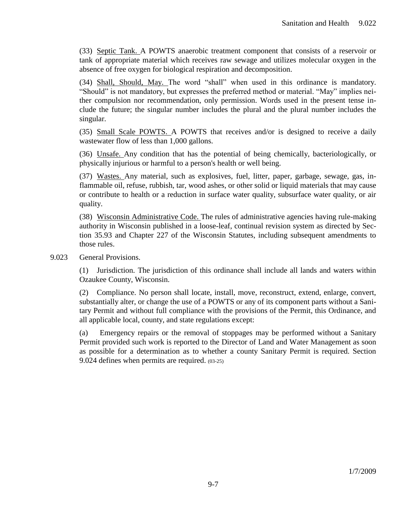(33) Septic Tank. A POWTS anaerobic treatment component that consists of a reservoir or tank of appropriate material which receives raw sewage and utilizes molecular oxygen in the absence of free oxygen for biological respiration and decomposition.

(34) Shall, Should, May. The word "shall" when used in this ordinance is mandatory. "Should" is not mandatory, but expresses the preferred method or material. "May" implies neither compulsion nor recommendation, only permission. Words used in the present tense include the future; the singular number includes the plural and the plural number includes the singular.

(35) Small Scale POWTS. A POWTS that receives and/or is designed to receive a daily wastewater flow of less than 1,000 gallons.

(36) Unsafe. Any condition that has the potential of being chemically, bacteriologically, or physically injurious or harmful to a person's health or well being.

(37) Wastes. Any material, such as explosives, fuel, litter, paper, garbage, sewage, gas, inflammable oil, refuse, rubbish, tar, wood ashes, or other solid or liquid materials that may cause or contribute to health or a reduction in surface water quality, subsurface water quality, or air quality.

(38) Wisconsin Administrative Code. The rules of administrative agencies having rule-making authority in Wisconsin published in a loose-leaf, continual revision system as directed by Section 35.93 and Chapter 227 of the Wisconsin Statutes, including subsequent amendments to those rules.

9.023 General Provisions.

(1) Jurisdiction. The jurisdiction of this ordinance shall include all lands and waters within Ozaukee County, Wisconsin.

(2) Compliance. No person shall locate, install, move, reconstruct, extend, enlarge, convert, substantially alter, or change the use of a POWTS or any of its component parts without a Sanitary Permit and without full compliance with the provisions of the Permit, this Ordinance, and all applicable local, county, and state regulations except:

(a) Emergency repairs or the removal of stoppages may be performed without a Sanitary Permit provided such work is reported to the Director of Land and Water Management as soon as possible for a determination as to whether a county Sanitary Permit is required. Section 9.024 defines when permits are required. (03-25)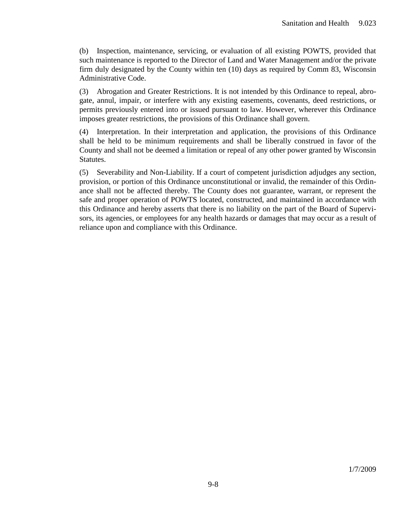(b) Inspection, maintenance, servicing, or evaluation of all existing POWTS, provided that such maintenance is reported to the Director of Land and Water Management and/or the private firm duly designated by the County within ten (10) days as required by Comm 83, Wisconsin Administrative Code.

(3) Abrogation and Greater Restrictions. It is not intended by this Ordinance to repeal, abrogate, annul, impair, or interfere with any existing easements, covenants, deed restrictions, or permits previously entered into or issued pursuant to law. However, wherever this Ordinance imposes greater restrictions, the provisions of this Ordinance shall govern.

(4) Interpretation. In their interpretation and application, the provisions of this Ordinance shall be held to be minimum requirements and shall be liberally construed in favor of the County and shall not be deemed a limitation or repeal of any other power granted by Wisconsin Statutes.

(5) Severability and Non-Liability. If a court of competent jurisdiction adjudges any section, provision, or portion of this Ordinance unconstitutional or invalid, the remainder of this Ordinance shall not be affected thereby. The County does not guarantee, warrant, or represent the safe and proper operation of POWTS located, constructed, and maintained in accordance with this Ordinance and hereby asserts that there is no liability on the part of the Board of Supervisors, its agencies, or employees for any health hazards or damages that may occur as a result of reliance upon and compliance with this Ordinance.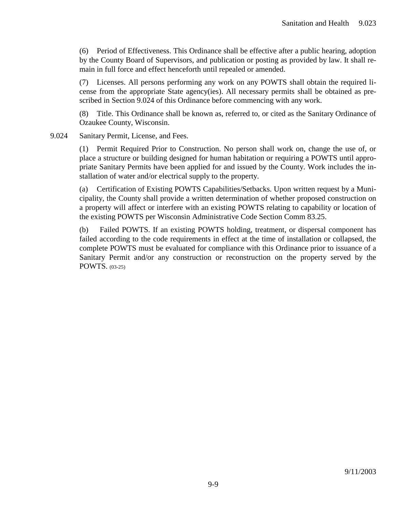(6) Period of Effectiveness. This Ordinance shall be effective after a public hearing, adoption by the County Board of Supervisors, and publication or posting as provided by law. It shall remain in full force and effect henceforth until repealed or amended.

(7) Licenses. All persons performing any work on any POWTS shall obtain the required license from the appropriate State agency(ies). All necessary permits shall be obtained as prescribed in Section 9.024 of this Ordinance before commencing with any work.

(8) Title. This Ordinance shall be known as, referred to, or cited as the Sanitary Ordinance of Ozaukee County, Wisconsin.

9.024 Sanitary Permit, License, and Fees.

(1) Permit Required Prior to Construction. No person shall work on, change the use of, or place a structure or building designed for human habitation or requiring a POWTS until appropriate Sanitary Permits have been applied for and issued by the County. Work includes the installation of water and/or electrical supply to the property.

(a) Certification of Existing POWTS Capabilities/Setbacks. Upon written request by a Municipality, the County shall provide a written determination of whether proposed construction on a property will affect or interfere with an existing POWTS relating to capability or location of the existing POWTS per Wisconsin Administrative Code Section Comm 83.25.

(b) Failed POWTS. If an existing POWTS holding, treatment, or dispersal component has failed according to the code requirements in effect at the time of installation or collapsed, the complete POWTS must be evaluated for compliance with this Ordinance prior to issuance of a Sanitary Permit and/or any construction or reconstruction on the property served by the POWTS. (03-25)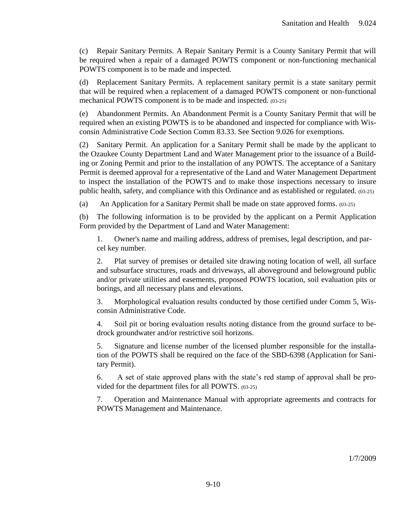(c) Repair Sanitary Permits. A Repair Sanitary Permit is a County Sanitary Permit that will be required when a repair of a damaged POWTS component or non-functioning mechanical POWTS component is to be made and inspected.

(d) Replacement Sanitary Permits. A replacement sanitary permit is a state sanitary permit that will be required when a replacement of a damaged POWTS component or non-functional mechanical POWTS component is to be made and inspected. (03-25)

(e) Abandonment Permits. An Abandonment Permit is a County Sanitary Permit that will be required when an existing POWTS is to be abandoned and inspected for compliance with Wisconsin Administrative Code Section Comm 83.33. See Section 9.026 for exemptions.

(2) Sanitary Permit. An application for a Sanitary Permit shall be made by the applicant to the Ozaukee County Department Land and Water Management prior to the issuance of a Building or Zoning Permit and prior to the installation of any POWTS. The acceptance of a Sanitary Permit is deemed approval for a representative of the Land and Water Management Department to inspect the installation of the POWTS and to make those inspections necessary to insure public health, safety, and compliance with this Ordinance and as established or regulated. (03-25)

(a) An Application for a Sanitary Permit shall be made on state approved forms. (03-25)

(b) The following information is to be provided by the applicant on a Permit Application Form provided by the Department of Land and Water Management:

1. Owner's name and mailing address, address of premises, legal description, and parcel key number.

2. Plat survey of premises or detailed site drawing noting location of well, all surface and subsurface structures, roads and driveways, all aboveground and belowground public and/or private utilities and easements, proposed POWTS location, soil evaluation pits or borings, and all necessary plans and elevations.

3. Morphological evaluation results conducted by those certified under Comm 5, Wisconsin Administrative Code.

4. Soil pit or boring evaluation results noting distance from the ground surface to bedrock groundwater and/or restrictive soil horizons.

5. Signature and license number of the licensed plumber responsible for the installation of the POWTS shall be required on the face of the SBD-6398 (Application for Sanitary Permit).

6. A set of state approved plans with the state's red stamp of approval shall be provided for the department files for all POWTS. (03-25)

7. Operation and Maintenance Manual with appropriate agreements and contracts for POWTS Management and Maintenance.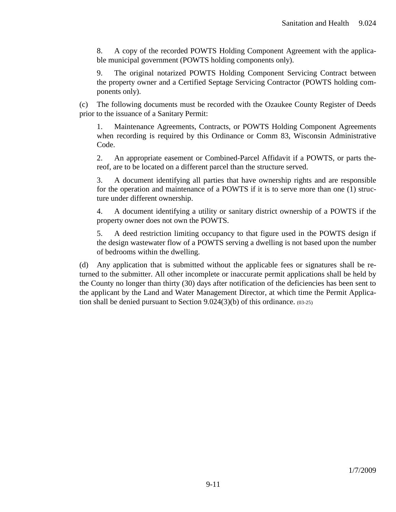8. A copy of the recorded POWTS Holding Component Agreement with the applicable municipal government (POWTS holding components only).

9. The original notarized POWTS Holding Component Servicing Contract between the property owner and a Certified Septage Servicing Contractor (POWTS holding components only).

(c) The following documents must be recorded with the Ozaukee County Register of Deeds prior to the issuance of a Sanitary Permit:

1. Maintenance Agreements, Contracts, or POWTS Holding Component Agreements when recording is required by this Ordinance or Comm 83, Wisconsin Administrative Code.

2. An appropriate easement or Combined-Parcel Affidavit if a POWTS, or parts thereof, are to be located on a different parcel than the structure served.

3. A document identifying all parties that have ownership rights and are responsible for the operation and maintenance of a POWTS if it is to serve more than one (1) structure under different ownership.

4. A document identifying a utility or sanitary district ownership of a POWTS if the property owner does not own the POWTS.

5. A deed restriction limiting occupancy to that figure used in the POWTS design if the design wastewater flow of a POWTS serving a dwelling is not based upon the number of bedrooms within the dwelling.

(d) Any application that is submitted without the applicable fees or signatures shall be returned to the submitter. All other incomplete or inaccurate permit applications shall be held by the County no longer than thirty (30) days after notification of the deficiencies has been sent to the applicant by the Land and Water Management Director, at which time the Permit Application shall be denied pursuant to Section 9.024(3)(b) of this ordinance. (03-25)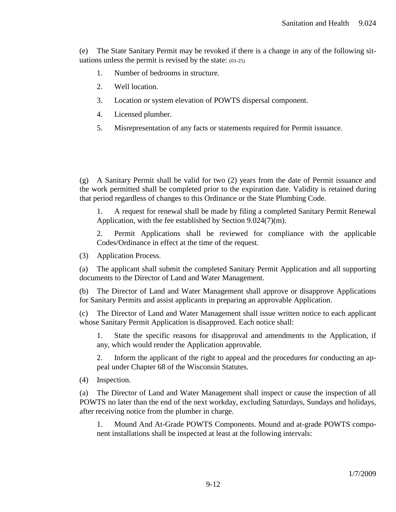(e) The State Sanitary Permit may be revoked if there is a change in any of the following situations unless the permit is revised by the state: (03-25)

- 1. Number of bedrooms in structure.
- 2. Well location.
- 3. Location or system elevation of POWTS dispersal component.
- 4. Licensed plumber.
- 5. Misrepresentation of any facts or statements required for Permit issuance.

(g) A Sanitary Permit shall be valid for two (2) years from the date of Permit issuance and the work permitted shall be completed prior to the expiration date. Validity is retained during that period regardless of changes to this Ordinance or the State Plumbing Code.

1. A request for renewal shall be made by filing a completed Sanitary Permit Renewal Application, with the fee established by Section 9.024(7)(m).

2. Permit Applications shall be reviewed for compliance with the applicable Codes/Ordinance in effect at the time of the request.

(3) Application Process.

(a) The applicant shall submit the completed Sanitary Permit Application and all supporting documents to the Director of Land and Water Management.

(b) The Director of Land and Water Management shall approve or disapprove Applications for Sanitary Permits and assist applicants in preparing an approvable Application.

(c) The Director of Land and Water Management shall issue written notice to each applicant whose Sanitary Permit Application is disapproved. Each notice shall:

1. State the specific reasons for disapproval and amendments to the Application, if any, which would render the Application approvable.

2. Inform the applicant of the right to appeal and the procedures for conducting an appeal under Chapter 68 of the Wisconsin Statutes.

(4) Inspection.

(a) The Director of Land and Water Management shall inspect or cause the inspection of all POWTS no later than the end of the next workday, excluding Saturdays, Sundays and holidays, after receiving notice from the plumber in charge.

1. Mound And At-Grade POWTS Components. Mound and at-grade POWTS component installations shall be inspected at least at the following intervals: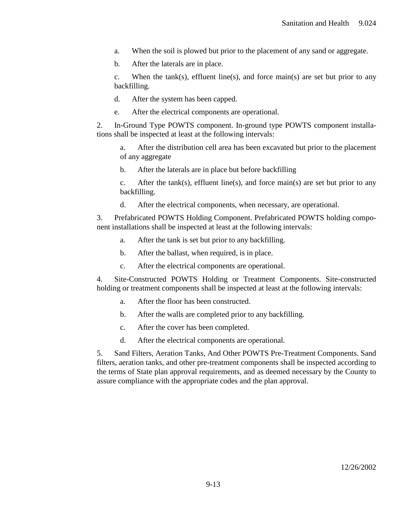- a. When the soil is plowed but prior to the placement of any sand or aggregate.
- b. After the laterals are in place.

c. When the tank(s), effluent line(s), and force main(s) are set but prior to any backfilling.

d. After the system has been capped.

e. After the electrical components are operational.

2. In-Ground Type POWTS component. In-ground type POWTS component installations shall be inspected at least at the following intervals:

a. After the distribution cell area has been excavated but prior to the placement of any aggregate

b. After the laterals are in place but before backfilling

c. After the tank(s), effluent line(s), and force main(s) are set but prior to any backfilling.

d. After the electrical components, when necessary, are operational.

3. Prefabricated POWTS Holding Component. Prefabricated POWTS holding component installations shall be inspected at least at the following intervals:

- a. After the tank is set but prior to any backfilling.
- b. After the ballast, when required, is in place.
- c. After the electrical components are operational.

4. Site-Constructed POWTS Holding or Treatment Components. Site-constructed holding or treatment components shall be inspected at least at the following intervals:

- a. After the floor has been constructed.
- b. After the walls are completed prior to any backfilling.
- c. After the cover has been completed.
- d. After the electrical components are operational.

5. Sand Filters, Aeration Tanks, And Other POWTS Pre-Treatment Components. Sand filters, aeration tanks, and other pre-treatment components shall be inspected according to the terms of State plan approval requirements, and as deemed necessary by the County to assure compliance with the appropriate codes and the plan approval.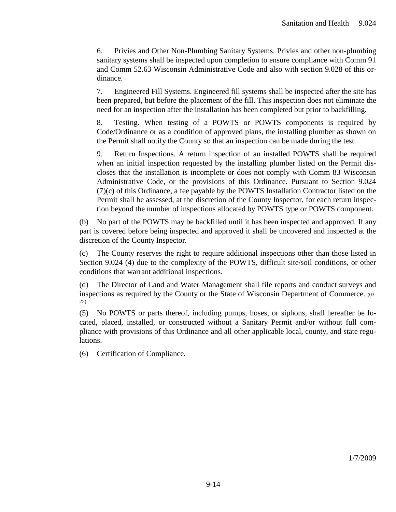6. Privies and Other Non-Plumbing Sanitary Systems. Privies and other non-plumbing sanitary systems shall be inspected upon completion to ensure compliance with Comm 91 and Comm 52.63 Wisconsin Administrative Code and also with section 9.028 of this ordinance.

7. Engineered Fill Systems. Engineered fill systems shall be inspected after the site has been prepared, but before the placement of the fill. This inspection does not eliminate the need for an inspection after the installation has been completed but prior to backfilling.

8. Testing. When testing of a POWTS or POWTS components is required by Code/Ordinance or as a condition of approved plans, the installing plumber as shown on the Permit shall notify the County so that an inspection can be made during the test.

9. Return Inspections. A return inspection of an installed POWTS shall be required when an initial inspection requested by the installing plumber listed on the Permit discloses that the installation is incomplete or does not comply with Comm 83 Wisconsin Administrative Code, or the provisions of this Ordinance. Pursuant to Section 9.024 (7)(c) of this Ordinance, a fee payable by the POWTS Installation Contractor listed on the Permit shall be assessed, at the discretion of the County Inspector, for each return inspection beyond the number of inspections allocated by POWTS type or POWTS component.

(b) No part of the POWTS may be backfilled until it has been inspected and approved. If any part is covered before being inspected and approved it shall be uncovered and inspected at the discretion of the County Inspector.

(c) The County reserves the right to require additional inspections other than those listed in Section 9.024 (4) due to the complexity of the POWTS, difficult site/soil conditions, or other conditions that warrant additional inspections.

(d) The Director of Land and Water Management shall file reports and conduct surveys and inspections as required by the County or the State of Wisconsin Department of Commerce. (03- 25)

(5) No POWTS or parts thereof, including pumps, hoses, or siphons, shall hereafter be located, placed, installed, or constructed without a Sanitary Permit and/or without full compliance with provisions of this Ordinance and all other applicable local, county, and state regulations.

(6) Certification of Compliance.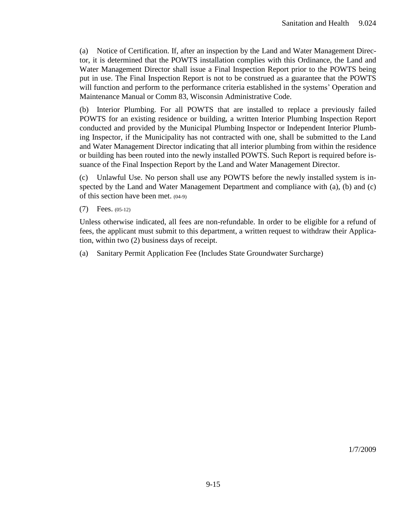(a) Notice of Certification. If, after an inspection by the Land and Water Management Director, it is determined that the POWTS installation complies with this Ordinance, the Land and Water Management Director shall issue a Final Inspection Report prior to the POWTS being put in use. The Final Inspection Report is not to be construed as a guarantee that the POWTS will function and perform to the performance criteria established in the systems' Operation and Maintenance Manual or Comm 83, Wisconsin Administrative Code.

(b) Interior Plumbing. For all POWTS that are installed to replace a previously failed POWTS for an existing residence or building, a written Interior Plumbing Inspection Report conducted and provided by the Municipal Plumbing Inspector or Independent Interior Plumbing Inspector, if the Municipality has not contracted with one, shall be submitted to the Land and Water Management Director indicating that all interior plumbing from within the residence or building has been routed into the newly installed POWTS. Such Report is required before issuance of the Final Inspection Report by the Land and Water Management Director.

(c) Unlawful Use. No person shall use any POWTS before the newly installed system is inspected by the Land and Water Management Department and compliance with (a), (b) and (c) of this section have been met. (04-9)

(7) Fees. (05-12)

Unless otherwise indicated, all fees are non-refundable. In order to be eligible for a refund of fees, the applicant must submit to this department, a written request to withdraw their Application, within two (2) business days of receipt.

(a) Sanitary Permit Application Fee (Includes State Groundwater Surcharge)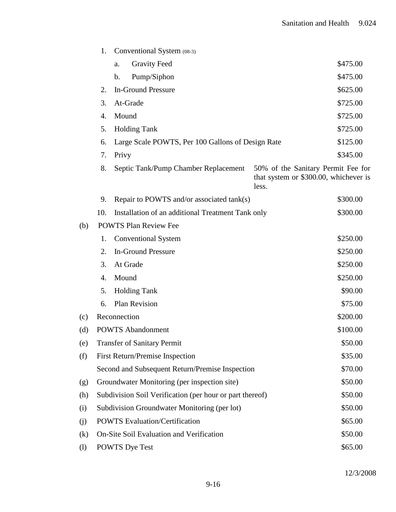|                   | 1.                                                       | Conventional System (08-3)                        |                                                                                      |  |  |
|-------------------|----------------------------------------------------------|---------------------------------------------------|--------------------------------------------------------------------------------------|--|--|
|                   |                                                          | <b>Gravity Feed</b><br>a.                         | \$475.00                                                                             |  |  |
|                   |                                                          | Pump/Siphon<br>b.                                 | \$475.00                                                                             |  |  |
|                   | 2.                                                       | <b>In-Ground Pressure</b>                         | \$625.00                                                                             |  |  |
|                   | 3.                                                       | At-Grade                                          | \$725.00                                                                             |  |  |
|                   | 4.                                                       | Mound                                             | \$725.00                                                                             |  |  |
|                   | 5.                                                       | <b>Holding Tank</b>                               | \$725.00                                                                             |  |  |
|                   | 6.                                                       | Large Scale POWTS, Per 100 Gallons of Design Rate | \$125.00                                                                             |  |  |
|                   | 7.                                                       | Privy                                             | \$345.00                                                                             |  |  |
|                   | 8.                                                       | Septic Tank/Pump Chamber Replacement              | 50% of the Sanitary Permit Fee for<br>that system or \$300.00, whichever is<br>less. |  |  |
|                   | 9.                                                       | Repair to POWTS and/or associated tank(s)         | \$300.00                                                                             |  |  |
|                   | 10.                                                      | Installation of an additional Treatment Tank only | \$300.00                                                                             |  |  |
| (b)               | <b>POWTS Plan Review Fee</b>                             |                                                   |                                                                                      |  |  |
|                   | 1.                                                       | <b>Conventional System</b>                        | \$250.00                                                                             |  |  |
|                   | 2.                                                       | <b>In-Ground Pressure</b>                         | \$250.00                                                                             |  |  |
|                   | 3.                                                       | At Grade                                          | \$250.00                                                                             |  |  |
|                   | 4.                                                       | Mound                                             | \$250.00                                                                             |  |  |
|                   | 5.                                                       | <b>Holding Tank</b>                               | \$90.00                                                                              |  |  |
|                   | 6.                                                       | <b>Plan Revision</b>                              | \$75.00                                                                              |  |  |
| (c)               | Reconnection                                             |                                                   | \$200.00                                                                             |  |  |
| (d)               | <b>POWTS</b> Abandonment<br>\$100.00                     |                                                   |                                                                                      |  |  |
| (e)               | <b>Transfer of Sanitary Permit</b>                       |                                                   | \$50.00                                                                              |  |  |
| (f)               |                                                          | <b>First Return/Premise Inspection</b>            | \$35.00                                                                              |  |  |
|                   |                                                          | Second and Subsequent Return/Premise Inspection   | \$70.00                                                                              |  |  |
| (g)               | Groundwater Monitoring (per inspection site)             | \$50.00                                           |                                                                                      |  |  |
| (h)               | Subdivision Soil Verification (per hour or part thereof) |                                                   |                                                                                      |  |  |
| (i)               | Subdivision Groundwater Monitoring (per lot)             |                                                   |                                                                                      |  |  |
| (j)               | <b>POWTS Evaluation/Certification</b>                    |                                                   |                                                                                      |  |  |
| $\left( k\right)$ | On-Site Soil Evaluation and Verification<br>\$50.00      |                                                   |                                                                                      |  |  |
| $\left( 1\right)$ | \$65.00<br><b>POWTS</b> Dye Test                         |                                                   |                                                                                      |  |  |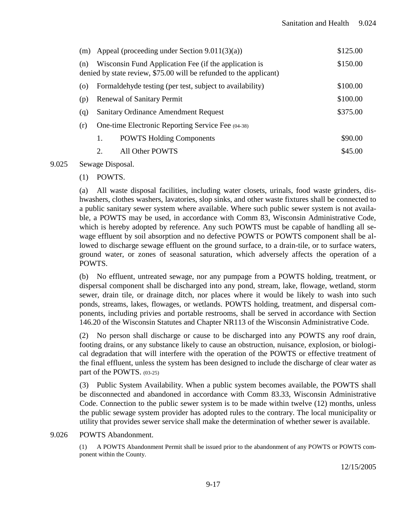|     |                                                                                                                             | (m) Appeal (proceeding under Section $9.011(3)(a)$ )     | \$125.00 |
|-----|-----------------------------------------------------------------------------------------------------------------------------|----------------------------------------------------------|----------|
| (n) | Wisconsin Fund Application Fee (if the application is<br>denied by state review, \$75.00 will be refunded to the applicant) | \$150.00                                                 |          |
| (0) |                                                                                                                             | Formaldehyde testing (per test, subject to availability) | \$100.00 |
| (p) | <b>Renewal of Sanitary Permit</b>                                                                                           |                                                          | \$100.00 |
| (q) |                                                                                                                             | <b>Sanitary Ordinance Amendment Request</b>              | \$375.00 |
| (r) | One-time Electronic Reporting Service Fee (04-38)                                                                           |                                                          |          |
|     | 1.                                                                                                                          | <b>POWTS Holding Components</b>                          | \$90.00  |
|     | 2.                                                                                                                          | All Other POWTS                                          | \$45.00  |

### 9.025 Sewage Disposal.

### (1) POWTS.

(a) All waste disposal facilities, including water closets, urinals, food waste grinders, dishwashers, clothes washers, lavatories, slop sinks, and other waste fixtures shall be connected to a public sanitary sewer system where available. Where such public sewer system is not available, a POWTS may be used, in accordance with Comm 83, Wisconsin Administrative Code, which is hereby adopted by reference. Any such POWTS must be capable of handling all sewage effluent by soil absorption and no defective POWTS or POWTS component shall be allowed to discharge sewage effluent on the ground surface, to a drain-tile, or to surface waters, ground water, or zones of seasonal saturation, which adversely affects the operation of a POWTS.

(b) No effluent, untreated sewage, nor any pumpage from a POWTS holding, treatment, or dispersal component shall be discharged into any pond, stream, lake, flowage, wetland, storm sewer, drain tile, or drainage ditch, nor places where it would be likely to wash into such ponds, streams, lakes, flowages, or wetlands. POWTS holding, treatment, and dispersal components, including privies and portable restrooms, shall be served in accordance with Section 146.20 of the Wisconsin Statutes and Chapter NR113 of the Wisconsin Administrative Code.

(2) No person shall discharge or cause to be discharged into any POWTS any roof drain, footing drains, or any substance likely to cause an obstruction, nuisance, explosion, or biological degradation that will interfere with the operation of the POWTS or effective treatment of the final effluent, unless the system has been designed to include the discharge of clear water as part of the POWTS. (03-25)

(3) Public System Availability. When a public system becomes available, the POWTS shall be disconnected and abandoned in accordance with Comm 83.33, Wisconsin Administrative Code. Connection to the public sewer system is to be made within twelve (12) months, unless the public sewage system provider has adopted rules to the contrary. The local municipality or utility that provides sewer service shall make the determination of whether sewer is available.

#### 9.026 POWTS Abandonment.

(1) A POWTS Abandonment Permit shall be issued prior to the abandonment of any POWTS or POWTS component within the County.

12/15/2005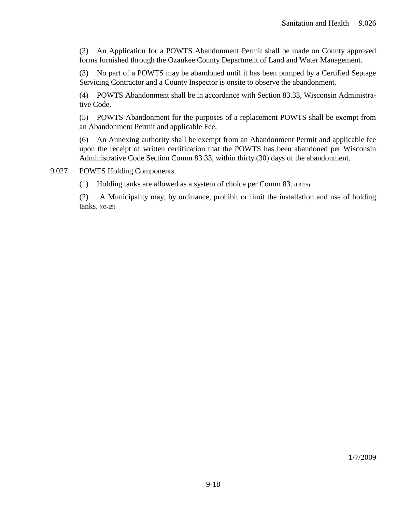(2) An Application for a POWTS Abandonment Permit shall be made on County approved forms furnished through the Ozaukee County Department of Land and Water Management.

(3) No part of a POWTS may be abandoned until it has been pumped by a Certified Septage Servicing Contractor and a County Inspector is onsite to observe the abandonment.

(4) POWTS Abandonment shall be in accordance with Section 83.33, Wisconsin Administrative Code.

(5) POWTS Abandonment for the purposes of a replacement POWTS shall be exempt from an Abandonment Permit and applicable Fee.

(6) An Annexing authority shall be exempt from an Abandonment Permit and applicable fee upon the receipt of written certification that the POWTS has been abandoned per Wisconsin Administrative Code Section Comm 83.33, within thirty (30) days of the abandonment.

9.027 POWTS Holding Components.

(1) Holding tanks are allowed as a system of choice per Comm 83. (03-25)

(2) A Municipality may, by ordinance, prohibit or limit the installation and use of holding tanks. (03-25)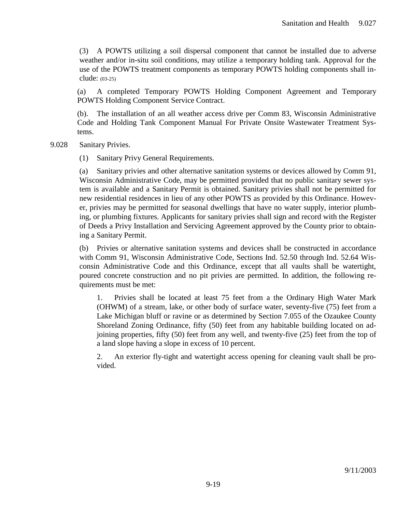(3) A POWTS utilizing a soil dispersal component that cannot be installed due to adverse weather and/or in-situ soil conditions, may utilize a temporary holding tank. Approval for the use of the POWTS treatment components as temporary POWTS holding components shall include: (03-25)

(a) A completed Temporary POWTS Holding Component Agreement and Temporary POWTS Holding Component Service Contract.

(b). The installation of an all weather access drive per Comm 83, Wisconsin Administrative Code and Holding Tank Component Manual For Private Onsite Wastewater Treatment Systems.

- 9.028 Sanitary Privies.
	- (1) Sanitary Privy General Requirements.

(a) Sanitary privies and other alternative sanitation systems or devices allowed by Comm 91, Wisconsin Administrative Code, may be permitted provided that no public sanitary sewer system is available and a Sanitary Permit is obtained. Sanitary privies shall not be permitted for new residential residences in lieu of any other POWTS as provided by this Ordinance. However, privies may be permitted for seasonal dwellings that have no water supply, interior plumbing, or plumbing fixtures. Applicants for sanitary privies shall sign and record with the Register of Deeds a Privy Installation and Servicing Agreement approved by the County prior to obtaining a Sanitary Permit.

(b) Privies or alternative sanitation systems and devices shall be constructed in accordance with Comm 91, Wisconsin Administrative Code, Sections Ind. 52.50 through Ind. 52.64 Wisconsin Administrative Code and this Ordinance, except that all vaults shall be watertight, poured concrete construction and no pit privies are permitted. In addition, the following requirements must be met:

1. Privies shall be located at least 75 feet from a the Ordinary High Water Mark (OHWM) of a stream, lake, or other body of surface water, seventy-five (75) feet from a Lake Michigan bluff or ravine or as determined by Section 7.055 of the Ozaukee County Shoreland Zoning Ordinance, fifty (50) feet from any habitable building located on adjoining properties, fifty (50) feet from any well, and twenty-five (25) feet from the top of a land slope having a slope in excess of 10 percent.

2. An exterior fly-tight and watertight access opening for cleaning vault shall be provided.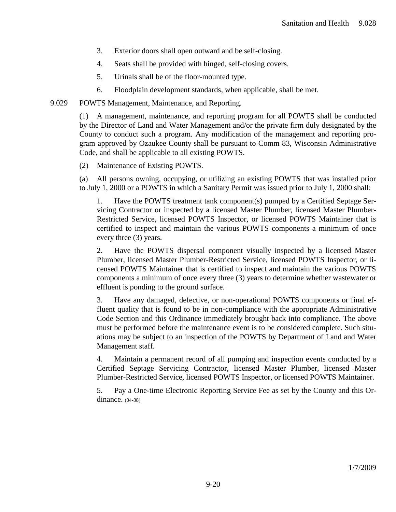- 3. Exterior doors shall open outward and be self-closing.
- 4. Seats shall be provided with hinged, self-closing covers.
- 5. Urinals shall be of the floor-mounted type.
- 6. Floodplain development standards, when applicable, shall be met.
- 9.029 POWTS Management, Maintenance, and Reporting.

(1) A management, maintenance, and reporting program for all POWTS shall be conducted by the Director of Land and Water Management and/or the private firm duly designated by the County to conduct such a program. Any modification of the management and reporting program approved by Ozaukee County shall be pursuant to Comm 83, Wisconsin Administrative Code, and shall be applicable to all existing POWTS.

(2) Maintenance of Existing POWTS.

(a) All persons owning, occupying, or utilizing an existing POWTS that was installed prior to July 1, 2000 or a POWTS in which a Sanitary Permit was issued prior to July 1, 2000 shall:

1. Have the POWTS treatment tank component(s) pumped by a Certified Septage Servicing Contractor or inspected by a licensed Master Plumber, licensed Master Plumber-Restricted Service, licensed POWTS Inspector, or licensed POWTS Maintainer that is certified to inspect and maintain the various POWTS components a minimum of once every three (3) years.

2. Have the POWTS dispersal component visually inspected by a licensed Master Plumber, licensed Master Plumber-Restricted Service, licensed POWTS Inspector, or licensed POWTS Maintainer that is certified to inspect and maintain the various POWTS components a minimum of once every three (3) years to determine whether wastewater or effluent is ponding to the ground surface.

3. Have any damaged, defective, or non-operational POWTS components or final effluent quality that is found to be in non-compliance with the appropriate Administrative Code Section and this Ordinance immediately brought back into compliance. The above must be performed before the maintenance event is to be considered complete. Such situations may be subject to an inspection of the POWTS by Department of Land and Water Management staff.

4. Maintain a permanent record of all pumping and inspection events conducted by a Certified Septage Servicing Contractor, licensed Master Plumber, licensed Master Plumber-Restricted Service, licensed POWTS Inspector, or licensed POWTS Maintainer.

5. Pay a One-time Electronic Reporting Service Fee as set by the County and this Ordinance. (04-38)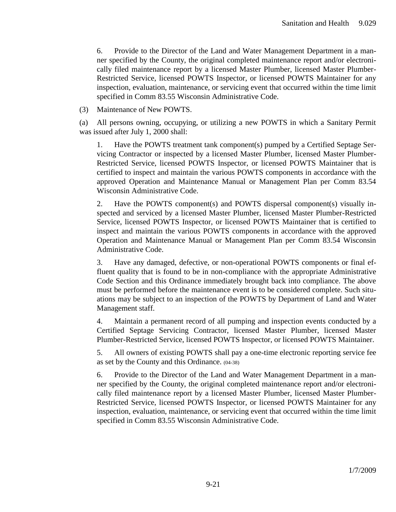6. Provide to the Director of the Land and Water Management Department in a manner specified by the County, the original completed maintenance report and/or electronically filed maintenance report by a licensed Master Plumber, licensed Master Plumber-Restricted Service, licensed POWTS Inspector, or licensed POWTS Maintainer for any inspection, evaluation, maintenance, or servicing event that occurred within the time limit specified in Comm 83.55 Wisconsin Administrative Code.

(3) Maintenance of New POWTS.

(a) All persons owning, occupying, or utilizing a new POWTS in which a Sanitary Permit was issued after July 1, 2000 shall:

1. Have the POWTS treatment tank component(s) pumped by a Certified Septage Servicing Contractor or inspected by a licensed Master Plumber, licensed Master Plumber-Restricted Service, licensed POWTS Inspector, or licensed POWTS Maintainer that is certified to inspect and maintain the various POWTS components in accordance with the approved Operation and Maintenance Manual or Management Plan per Comm 83.54 Wisconsin Administrative Code.

2. Have the POWTS component(s) and POWTS dispersal component(s) visually inspected and serviced by a licensed Master Plumber, licensed Master Plumber-Restricted Service, licensed POWTS Inspector, or licensed POWTS Maintainer that is certified to inspect and maintain the various POWTS components in accordance with the approved Operation and Maintenance Manual or Management Plan per Comm 83.54 Wisconsin Administrative Code.

3. Have any damaged, defective, or non-operational POWTS components or final effluent quality that is found to be in non-compliance with the appropriate Administrative Code Section and this Ordinance immediately brought back into compliance. The above must be performed before the maintenance event is to be considered complete. Such situations may be subject to an inspection of the POWTS by Department of Land and Water Management staff.

4. Maintain a permanent record of all pumping and inspection events conducted by a Certified Septage Servicing Contractor, licensed Master Plumber, licensed Master Plumber-Restricted Service, licensed POWTS Inspector, or licensed POWTS Maintainer.

5. All owners of existing POWTS shall pay a one-time electronic reporting service fee as set by the County and this Ordinance. (04-38)

6. Provide to the Director of the Land and Water Management Department in a manner specified by the County, the original completed maintenance report and/or electronically filed maintenance report by a licensed Master Plumber, licensed Master Plumber-Restricted Service, licensed POWTS Inspector, or licensed POWTS Maintainer for any inspection, evaluation, maintenance, or servicing event that occurred within the time limit specified in Comm 83.55 Wisconsin Administrative Code.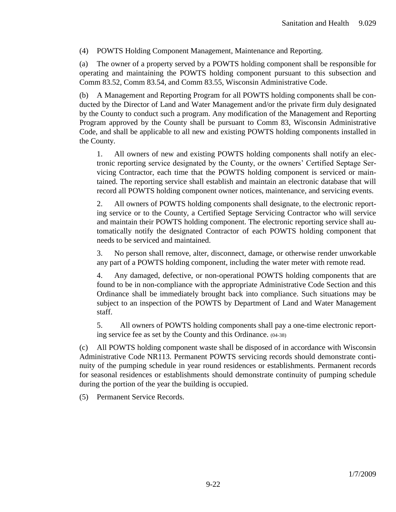(4) POWTS Holding Component Management, Maintenance and Reporting.

(a) The owner of a property served by a POWTS holding component shall be responsible for operating and maintaining the POWTS holding component pursuant to this subsection and Comm 83.52, Comm 83.54, and Comm 83.55, Wisconsin Administrative Code.

(b) A Management and Reporting Program for all POWTS holding components shall be conducted by the Director of Land and Water Management and/or the private firm duly designated by the County to conduct such a program. Any modification of the Management and Reporting Program approved by the County shall be pursuant to Comm 83, Wisconsin Administrative Code, and shall be applicable to all new and existing POWTS holding components installed in the County.

1. All owners of new and existing POWTS holding components shall notify an electronic reporting service designated by the County, or the owners' Certified Septage Servicing Contractor, each time that the POWTS holding component is serviced or maintained. The reporting service shall establish and maintain an electronic database that will record all POWTS holding component owner notices, maintenance, and servicing events.

2. All owners of POWTS holding components shall designate, to the electronic reporting service or to the County, a Certified Septage Servicing Contractor who will service and maintain their POWTS holding component. The electronic reporting service shall automatically notify the designated Contractor of each POWTS holding component that needs to be serviced and maintained.

3. No person shall remove, alter, disconnect, damage, or otherwise render unworkable any part of a POWTS holding component, including the water meter with remote read.

4. Any damaged, defective, or non-operational POWTS holding components that are found to be in non-compliance with the appropriate Administrative Code Section and this Ordinance shall be immediately brought back into compliance. Such situations may be subject to an inspection of the POWTS by Department of Land and Water Management staff.

5. All owners of POWTS holding components shall pay a one-time electronic reporting service fee as set by the County and this Ordinance. (04-38)

(c) All POWTS holding component waste shall be disposed of in accordance with Wisconsin Administrative Code NR113. Permanent POWTS servicing records should demonstrate continuity of the pumping schedule in year round residences or establishments. Permanent records for seasonal residences or establishments should demonstrate continuity of pumping schedule during the portion of the year the building is occupied.

(5) Permanent Service Records.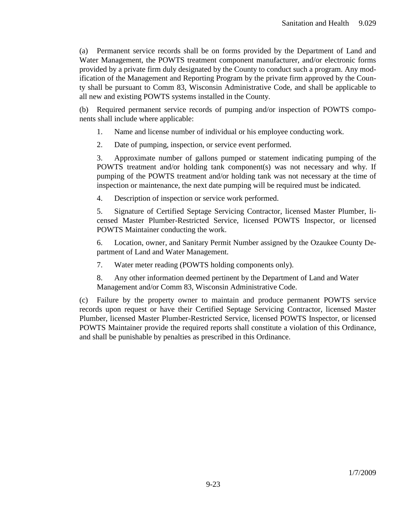(a) Permanent service records shall be on forms provided by the Department of Land and Water Management, the POWTS treatment component manufacturer, and/or electronic forms provided by a private firm duly designated by the County to conduct such a program. Any modification of the Management and Reporting Program by the private firm approved by the County shall be pursuant to Comm 83, Wisconsin Administrative Code, and shall be applicable to all new and existing POWTS systems installed in the County.

(b) Required permanent service records of pumping and/or inspection of POWTS components shall include where applicable:

- 1. Name and license number of individual or his employee conducting work.
- 2. Date of pumping, inspection, or service event performed.

3. Approximate number of gallons pumped or statement indicating pumping of the POWTS treatment and/or holding tank component(s) was not necessary and why. If pumping of the POWTS treatment and/or holding tank was not necessary at the time of inspection or maintenance, the next date pumping will be required must be indicated.

4. Description of inspection or service work performed.

5. Signature of Certified Septage Servicing Contractor, licensed Master Plumber, licensed Master Plumber-Restricted Service, licensed POWTS Inspector, or licensed POWTS Maintainer conducting the work.

6. Location, owner, and Sanitary Permit Number assigned by the Ozaukee County Department of Land and Water Management.

7. Water meter reading (POWTS holding components only).

8. Any other information deemed pertinent by the Department of Land and Water Management and/or Comm 83, Wisconsin Administrative Code.

(c) Failure by the property owner to maintain and produce permanent POWTS service records upon request or have their Certified Septage Servicing Contractor, licensed Master Plumber, licensed Master Plumber-Restricted Service, licensed POWTS Inspector, or licensed POWTS Maintainer provide the required reports shall constitute a violation of this Ordinance, and shall be punishable by penalties as prescribed in this Ordinance.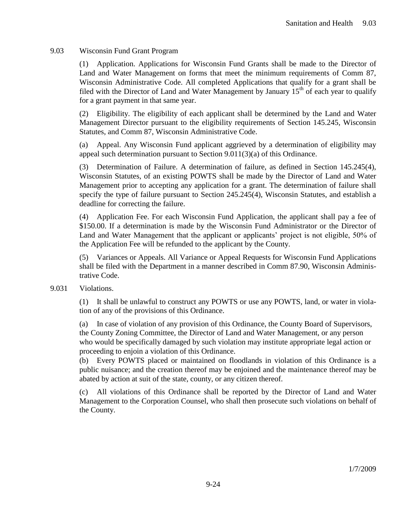### 9.03 Wisconsin Fund Grant Program

(1) Application. Applications for Wisconsin Fund Grants shall be made to the Director of Land and Water Management on forms that meet the minimum requirements of Comm 87, Wisconsin Administrative Code. All completed Applications that qualify for a grant shall be filed with the Director of Land and Water Management by January  $15<sup>th</sup>$  of each year to qualify for a grant payment in that same year.

(2) Eligibility. The eligibility of each applicant shall be determined by the Land and Water Management Director pursuant to the eligibility requirements of Section 145.245, Wisconsin Statutes, and Comm 87, Wisconsin Administrative Code.

(a) Appeal. Any Wisconsin Fund applicant aggrieved by a determination of eligibility may appeal such determination pursuant to Section 9.011(3)(a) of this Ordinance.

(3) Determination of Failure. A determination of failure, as defined in Section 145.245(4), Wisconsin Statutes, of an existing POWTS shall be made by the Director of Land and Water Management prior to accepting any application for a grant. The determination of failure shall specify the type of failure pursuant to Section 245.245(4), Wisconsin Statutes, and establish a deadline for correcting the failure.

(4) Application Fee. For each Wisconsin Fund Application, the applicant shall pay a fee of \$150.00. If a determination is made by the Wisconsin Fund Administrator or the Director of Land and Water Management that the applicant or applicants' project is not eligible, 50% of the Application Fee will be refunded to the applicant by the County.

(5) Variances or Appeals. All Variance or Appeal Requests for Wisconsin Fund Applications shall be filed with the Department in a manner described in Comm 87.90, Wisconsin Administrative Code.

### 9.031 Violations.

(1) It shall be unlawful to construct any POWTS or use any POWTS, land, or water in violation of any of the provisions of this Ordinance.

(a) In case of violation of any provision of this Ordinance, the County Board of Supervisors, the County Zoning Committee, the Director of Land and Water Management, or any person who would be specifically damaged by such violation may institute appropriate legal action or proceeding to enjoin a violation of this Ordinance.

(b) Every POWTS placed or maintained on floodlands in violation of this Ordinance is a public nuisance; and the creation thereof may be enjoined and the maintenance thereof may be abated by action at suit of the state, county, or any citizen thereof.

(c) All violations of this Ordinance shall be reported by the Director of Land and Water Management to the Corporation Counsel, who shall then prosecute such violations on behalf of the County.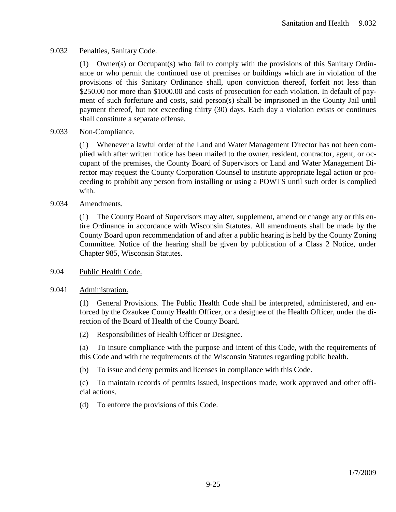## 9.032 Penalties, Sanitary Code.

(1) Owner(s) or Occupant(s) who fail to comply with the provisions of this Sanitary Ordinance or who permit the continued use of premises or buildings which are in violation of the provisions of this Sanitary Ordinance shall, upon conviction thereof, forfeit not less than \$250.00 nor more than \$1000.00 and costs of prosecution for each violation. In default of payment of such forfeiture and costs, said person(s) shall be imprisoned in the County Jail until payment thereof, but not exceeding thirty (30) days. Each day a violation exists or continues shall constitute a separate offense.

## 9.033 Non-Compliance.

(1) Whenever a lawful order of the Land and Water Management Director has not been complied with after written notice has been mailed to the owner, resident, contractor, agent, or occupant of the premises, the County Board of Supervisors or Land and Water Management Director may request the County Corporation Counsel to institute appropriate legal action or proceeding to prohibit any person from installing or using a POWTS until such order is complied with.

### 9.034 Amendments.

(1) The County Board of Supervisors may alter, supplement, amend or change any or this entire Ordinance in accordance with Wisconsin Statutes. All amendments shall be made by the County Board upon recommendation of and after a public hearing is held by the County Zoning Committee. Notice of the hearing shall be given by publication of a Class 2 Notice, under Chapter 985, Wisconsin Statutes.

### 9.04 Public Health Code.

### 9.041 Administration.

(1) General Provisions. The Public Health Code shall be interpreted, administered, and enforced by the Ozaukee County Health Officer, or a designee of the Health Officer, under the direction of the Board of Health of the County Board.

(2) Responsibilities of Health Officer or Designee.

(a) To insure compliance with the purpose and intent of this Code, with the requirements of this Code and with the requirements of the Wisconsin Statutes regarding public health.

(b) To issue and deny permits and licenses in compliance with this Code.

(c) To maintain records of permits issued, inspections made, work approved and other official actions.

(d) To enforce the provisions of this Code.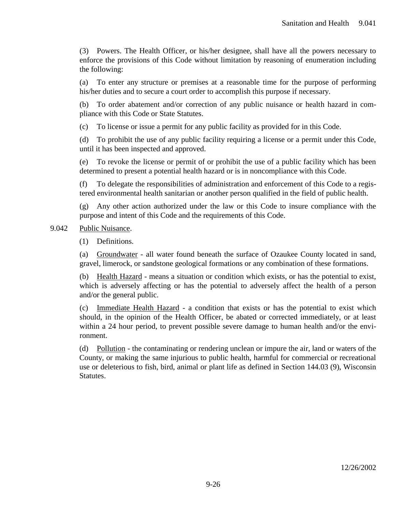(3) Powers. The Health Officer, or his/her designee, shall have all the powers necessary to enforce the provisions of this Code without limitation by reasoning of enumeration including the following:

(a) To enter any structure or premises at a reasonable time for the purpose of performing his/her duties and to secure a court order to accomplish this purpose if necessary.

(b) To order abatement and/or correction of any public nuisance or health hazard in compliance with this Code or State Statutes.

(c) To license or issue a permit for any public facility as provided for in this Code.

(d) To prohibit the use of any public facility requiring a license or a permit under this Code, until it has been inspected and approved.

(e) To revoke the license or permit of or prohibit the use of a public facility which has been determined to present a potential health hazard or is in noncompliance with this Code.

(f) To delegate the responsibilities of administration and enforcement of this Code to a registered environmental health sanitarian or another person qualified in the field of public health.

(g) Any other action authorized under the law or this Code to insure compliance with the purpose and intent of this Code and the requirements of this Code.

9.042 Public Nuisance.

(1) Definitions.

(a) Groundwater - all water found beneath the surface of Ozaukee County located in sand, gravel, limerock, or sandstone geological formations or any combination of these formations.

(b) Health Hazard - means a situation or condition which exists, or has the potential to exist, which is adversely affecting or has the potential to adversely affect the health of a person and/or the general public.

(c) Immediate Health Hazard - a condition that exists or has the potential to exist which should, in the opinion of the Health Officer, be abated or corrected immediately, or at least within a 24 hour period, to prevent possible severe damage to human health and/or the environment.

(d) Pollution - the contaminating or rendering unclean or impure the air, land or waters of the County, or making the same injurious to public health, harmful for commercial or recreational use or deleterious to fish, bird, animal or plant life as defined in Section 144.03 (9), Wisconsin Statutes.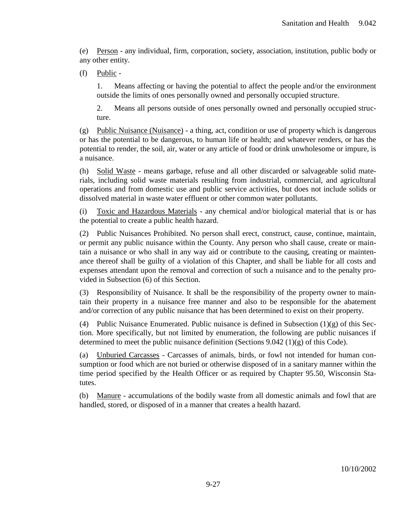(e) Person - any individual, firm, corporation, society, association, institution, public body or any other entity.

(f) Public -

1. Means affecting or having the potential to affect the people and/or the environment outside the limits of ones personally owned and personally occupied structure.

2. Means all persons outside of ones personally owned and personally occupied structure.

(g) Public Nuisance (Nuisance) - a thing, act, condition or use of property which is dangerous or has the potential to be dangerous, to human life or health; and whatever renders, or has the potential to render, the soil, air, water or any article of food or drink unwholesome or impure, is a nuisance.

(h) Solid Waste - means garbage, refuse and all other discarded or salvageable solid materials, including solid waste materials resulting from industrial, commercial, and agricultural operations and from domestic use and public service activities, but does not include solids or dissolved material in waste water effluent or other common water pollutants.

(i) Toxic and Hazardous Materials - any chemical and/or biological material that is or has the potential to create a public health hazard.

(2) Public Nuisances Prohibited. No person shall erect, construct, cause, continue, maintain, or permit any public nuisance within the County. Any person who shall cause, create or maintain a nuisance or who shall in any way aid or contribute to the causing, creating or maintenance thereof shall be guilty of a violation of this Chapter, and shall be liable for all costs and expenses attendant upon the removal and correction of such a nuisance and to the penalty provided in Subsection (6) of this Section.

(3) Responsibility of Nuisance. It shall be the responsibility of the property owner to maintain their property in a nuisance free manner and also to be responsible for the abatement and/or correction of any public nuisance that has been determined to exist on their property.

(4) Public Nuisance Enumerated. Public nuisance is defined in Subsection  $(1)(g)$  of this Section. More specifically, but not limited by enumeration, the following are public nuisances if determined to meet the public nuisance definition (Sections 9.042 (1)(g) of this Code).

(a) Unburied Carcasses - Carcasses of animals, birds, or fowl not intended for human consumption or food which are not buried or otherwise disposed of in a sanitary manner within the time period specified by the Health Officer or as required by Chapter 95.50, Wisconsin Statutes.

(b) Manure - accumulations of the bodily waste from all domestic animals and fowl that are handled, stored, or disposed of in a manner that creates a health hazard.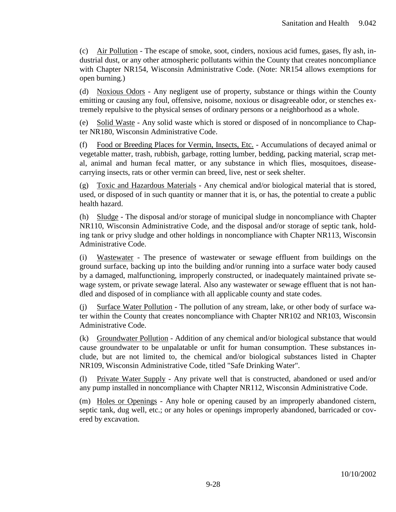(c) Air Pollution - The escape of smoke, soot, cinders, noxious acid fumes, gases, fly ash, industrial dust, or any other atmospheric pollutants within the County that creates noncompliance with Chapter NR154, Wisconsin Administrative Code. (Note: NR154 allows exemptions for open burning.)

(d) Noxious Odors - Any negligent use of property, substance or things within the County emitting or causing any foul, offensive, noisome, noxious or disagreeable odor, or stenches extremely repulsive to the physical senses of ordinary persons or a neighborhood as a whole.

(e) Solid Waste - Any solid waste which is stored or disposed of in noncompliance to Chapter NR180, Wisconsin Administrative Code.

(f) Food or Breeding Places for Vermin, Insects, Etc. - Accumulations of decayed animal or vegetable matter, trash, rubbish, garbage, rotting lumber, bedding, packing material, scrap metal, animal and human fecal matter, or any substance in which flies, mosquitoes, diseasecarrying insects, rats or other vermin can breed, live, nest or seek shelter.

(g) Toxic and Hazardous Materials - Any chemical and/or biological material that is stored, used, or disposed of in such quantity or manner that it is, or has, the potential to create a public health hazard.

(h) Sludge - The disposal and/or storage of municipal sludge in noncompliance with Chapter NR110, Wisconsin Administrative Code, and the disposal and/or storage of septic tank, holding tank or privy sludge and other holdings in noncompliance with Chapter NR113, Wisconsin Administrative Code.

(i) Wastewater - The presence of wastewater or sewage effluent from buildings on the ground surface, backing up into the building and/or running into a surface water body caused by a damaged, malfunctioning, improperly constructed, or inadequately maintained private sewage system, or private sewage lateral. Also any wastewater or sewage effluent that is not handled and disposed of in compliance with all applicable county and state codes.

(j) Surface Water Pollution - The pollution of any stream, lake, or other body of surface water within the County that creates noncompliance with Chapter NR102 and NR103, Wisconsin Administrative Code.

(k) Groundwater Pollution - Addition of any chemical and/or biological substance that would cause groundwater to be unpalatable or unfit for human consumption. These substances include, but are not limited to, the chemical and/or biological substances listed in Chapter NR109, Wisconsin Administrative Code, titled "Safe Drinking Water".

(l) Private Water Supply - Any private well that is constructed, abandoned or used and/or any pump installed in noncompliance with Chapter NR112, Wisconsin Administrative Code.

(m) Holes or Openings - Any hole or opening caused by an improperly abandoned cistern, septic tank, dug well, etc.; or any holes or openings improperly abandoned, barricaded or covered by excavation.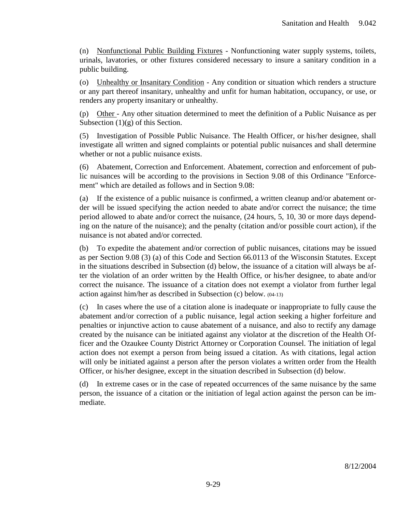(n) Nonfunctional Public Building Fixtures - Nonfunctioning water supply systems, toilets, urinals, lavatories, or other fixtures considered necessary to insure a sanitary condition in a public building.

(o) Unhealthy or Insanitary Condition - Any condition or situation which renders a structure or any part thereof insanitary, unhealthy and unfit for human habitation, occupancy, or use, or renders any property insanitary or unhealthy.

(p) Other - Any other situation determined to meet the definition of a Public Nuisance as per Subsection  $(1)(g)$  of this Section.

(5) Investigation of Possible Public Nuisance. The Health Officer, or his/her designee, shall investigate all written and signed complaints or potential public nuisances and shall determine whether or not a public nuisance exists.

(6) Abatement, Correction and Enforcement. Abatement, correction and enforcement of public nuisances will be according to the provisions in Section 9.08 of this Ordinance "Enforcement" which are detailed as follows and in Section 9.08:

(a) If the existence of a public nuisance is confirmed, a written cleanup and/or abatement order will be issued specifying the action needed to abate and/or correct the nuisance; the time period allowed to abate and/or correct the nuisance, (24 hours, 5, 10, 30 or more days depending on the nature of the nuisance); and the penalty (citation and/or possible court action), if the nuisance is not abated and/or corrected.

(b) To expedite the abatement and/or correction of public nuisances, citations may be issued as per Section 9.08 (3) (a) of this Code and Section 66.0113 of the Wisconsin Statutes. Except in the situations described in Subsection (d) below, the issuance of a citation will always be after the violation of an order written by the Health Office, or his/her designee, to abate and/or correct the nuisance. The issuance of a citation does not exempt a violator from further legal action against him/her as described in Subsection (c) below. (04-13)

(c) In cases where the use of a citation alone is inadequate or inappropriate to fully cause the abatement and/or correction of a public nuisance, legal action seeking a higher forfeiture and penalties or injunctive action to cause abatement of a nuisance, and also to rectify any damage created by the nuisance can be initiated against any violator at the discretion of the Health Officer and the Ozaukee County District Attorney or Corporation Counsel. The initiation of legal action does not exempt a person from being issued a citation. As with citations, legal action will only be initiated against a person after the person violates a written order from the Health Officer, or his/her designee, except in the situation described in Subsection (d) below.

(d) In extreme cases or in the case of repeated occurrences of the same nuisance by the same person, the issuance of a citation or the initiation of legal action against the person can be immediate.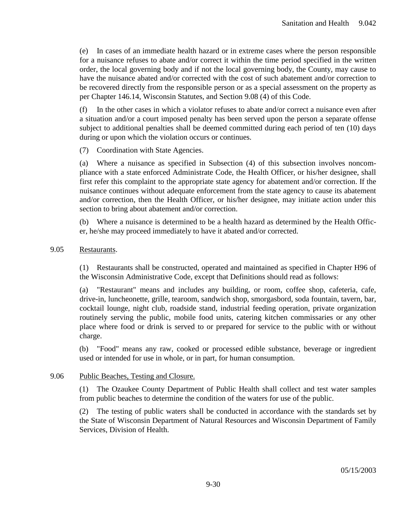(e) In cases of an immediate health hazard or in extreme cases where the person responsible for a nuisance refuses to abate and/or correct it within the time period specified in the written order, the local governing body and if not the local governing body, the County, may cause to have the nuisance abated and/or corrected with the cost of such abatement and/or correction to be recovered directly from the responsible person or as a special assessment on the property as per Chapter 146.14, Wisconsin Statutes, and Section 9.08 (4) of this Code.

(f) In the other cases in which a violator refuses to abate and/or correct a nuisance even after a situation and/or a court imposed penalty has been served upon the person a separate offense subject to additional penalties shall be deemed committed during each period of ten (10) days during or upon which the violation occurs or continues.

(7) Coordination with State Agencies.

(a) Where a nuisance as specified in Subsection (4) of this subsection involves noncompliance with a state enforced Administrate Code, the Health Officer, or his/her designee, shall first refer this complaint to the appropriate state agency for abatement and/or correction. If the nuisance continues without adequate enforcement from the state agency to cause its abatement and/or correction, then the Health Officer, or his/her designee, may initiate action under this section to bring about abatement and/or correction.

(b) Where a nuisance is determined to be a health hazard as determined by the Health Officer, he/she may proceed immediately to have it abated and/or corrected.

#### 9.05 Restaurants.

(1) Restaurants shall be constructed, operated and maintained as specified in Chapter H96 of the Wisconsin Administrative Code, except that Definitions should read as follows:

(a) "Restaurant" means and includes any building, or room, coffee shop, cafeteria, cafe, drive-in, luncheonette, grille, tearoom, sandwich shop, smorgasbord, soda fountain, tavern, bar, cocktail lounge, night club, roadside stand, industrial feeding operation, private organization routinely serving the public, mobile food units, catering kitchen commissaries or any other place where food or drink is served to or prepared for service to the public with or without charge.

(b) "Food" means any raw, cooked or processed edible substance, beverage or ingredient used or intended for use in whole, or in part, for human consumption.

#### 9.06 Public Beaches, Testing and Closure.

(1) The Ozaukee County Department of Public Health shall collect and test water samples from public beaches to determine the condition of the waters for use of the public.

(2) The testing of public waters shall be conducted in accordance with the standards set by the State of Wisconsin Department of Natural Resources and Wisconsin Department of Family Services, Division of Health.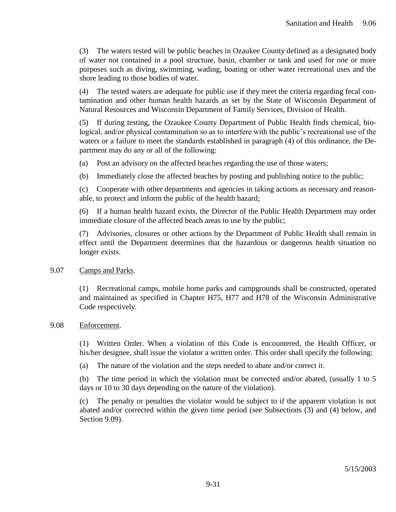(3) The waters tested will be public beaches in Ozaukee County defined as a designated body of water not contained in a pool structure, basin, chamber or tank and used for one or more purposes such as diving, swimming, wading, boating or other water recreational uses and the shore leading to those bodies of water.

(4) The tested waters are adequate for public use if they meet the criteria regarding fecal contamination and other human health hazards as set by the State of Wisconsin Department of Natural Resources and Wisconsin Department of Family Services, Division of Health.

(5) If during testing, the Ozaukee County Department of Public Health finds chemical, biological, and/or physical contamination so as to interfere with the public's recreational use of the waters or a failure to meet the standards established in paragraph (4) of this ordinance, the Department may do any or all of the following:

(a) Post an advisory on the affected beaches regarding the use of those waters;

(b) Immediately close the affected beaches by posting and publishing notice to the public;

(c) Cooperate with other departments and agencies in taking actions as necessary and reasonable, to protect and inform the public of the health hazard;

(6) If a human health hazard exists, the Director of the Public Health Department may order immediate closure of the affected beach areas to use by the public;

(7) Advisories, closures or other actions by the Department of Public Health shall remain in effect until the Department determines that the hazardous or dangerous health situation no longer exists.

### 9.07 Camps and Parks.

(1) Recreational camps, mobile home parks and campgrounds shall be constructed, operated and maintained as specified in Chapter H75, H77 and H78 of the Wisconsin Administrative Code respectively.

### 9.08 Enforcement.

(1) Written Order. When a violation of this Code is encountered, the Health Officer, or his/her designee, shall issue the violator a written order. This order shall specify the following:

(a) The nature of the violation and the steps needed to abate and/or correct it.

(b) The time period in which the violation must be corrected and/or abated, (usually 1 to 5 days or 10 to 30 days depending on the nature of the violation).

(c) The penalty or penalties the violator would be subject to if the apparent violation is not abated and/or corrected within the given time period (see Subsections (3) and (4) below, and Section 9.09).